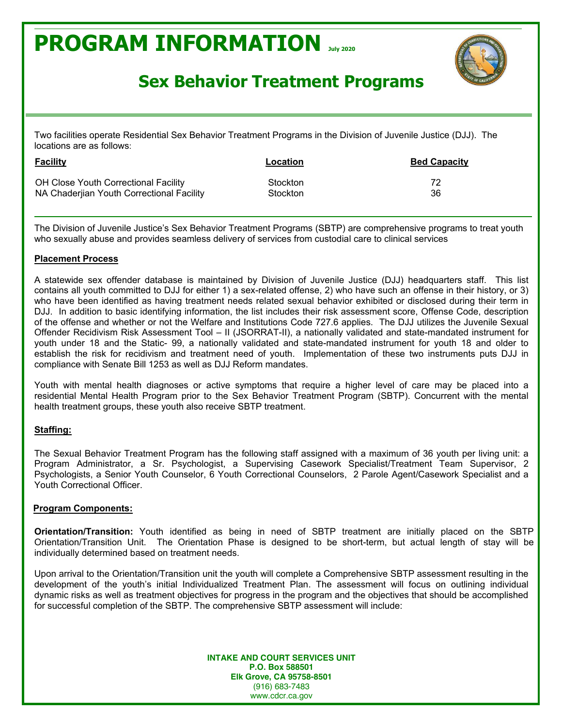

### **Sex Behavior Treatment Programs**

Two facilities operate Residential Sex Behavior Treatment Programs in the Division of Juvenile Justice (DJJ). The locations are as follows:

| <b>Facility</b>                             | Location        | <b>Bed Capacity</b> |
|---------------------------------------------|-----------------|---------------------|
| <b>OH Close Youth Correctional Facility</b> | <b>Stockton</b> | 72                  |
| NA Chaderijan Youth Correctional Facility   | <b>Stockton</b> | 36                  |

The Division of Juvenile Justice's Sex Behavior Treatment Programs (SBTP) are comprehensive programs to treat youth who sexually abuse and provides seamless delivery of services from custodial care to clinical services

#### **Placement Process**

A statewide sex offender database is maintained by Division of Juvenile Justice (DJJ) headquarters staff. This list contains all youth committed to DJJ for either 1) a sex-related offense, 2) who have such an offense in their history, or 3) who have been identified as having treatment needs related sexual behavior exhibited or disclosed during their term in DJJ. In addition to basic identifying information, the list includes their risk assessment score, Offense Code, description of the offense and whether or not the Welfare and Institutions Code 727.6 applies. The DJJ utilizes the Juvenile Sexual Offender Recidivism Risk Assessment Tool - II (JSORRAT-II), a nationally validated and state-mandated instrument for youth under 18 and the Static- 99, a nationally validated and state-mandated instrument for youth 18 and older to establish the risk for recidivism and treatment need of youth. Implementation of these two instruments puts DJJ in compliance with Senate Bill 1253 as well as DJJ Reform mandates.

Youth with mental health diagnoses or active symptoms that require a higher level of care may be placed into a residential Mental Health Program prior to the Sex Behavior Treatment Program (SBTP). Concurrent with the mental health treatment groups, these youth also receive SBTP treatment.

#### **Staffing:**

The Sexual Behavior Treatment Program has the following staff assigned with a maximum of 36 youth per living unit: a Program Administrator, a Sr. Psychologist, a Supervising Casework Specialist/Treatment Team Supervisor, 2 Psychologists, a Senior Youth Counselor, 6 Youth Correctional Counselors, 2 Parole Agent/Casework Specialist and a Youth Correctional Officer.

#### **Program Components:**

**Orientation/Transition:** Youth identified as being in need of SBTP treatment are initially placed on the SBTP Orientation/Transition Unit. The Orientation Phase is designed to be short-term, but actual length of stay will be individually determined based on treatment needs.

Upon arrival to the Orientation/Transition unit the youth will complete a Comprehensive SBTP assessment resulting in the development of the youth's initial Individualized Treatment Plan. The assessment will focus on outlining individual dynamic risks as well as treatment objectives for progress in the program and the objectives that should be accomplished for successful completion of the SBTP. The comprehensive SBTP assessment will include: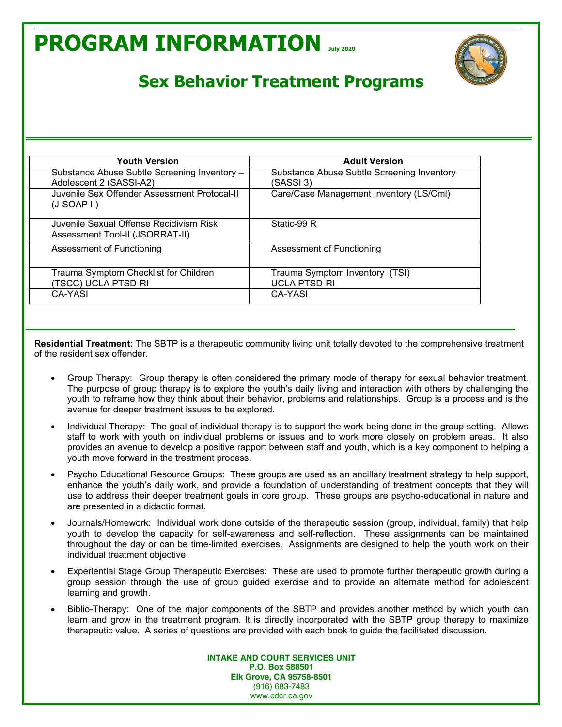

### **Sex Behavior Treatment Programs**

| <b>Youth Version</b>                                                       | <b>Adult Version</b>                                    |  |
|----------------------------------------------------------------------------|---------------------------------------------------------|--|
| Substance Abuse Subtle Screening Inventory -<br>Adolescent 2 (SASSI-A2)    | Substance Abuse Subtle Screening Inventory<br>(SASSI 3) |  |
| Juvenile Sex Offender Assessment Protocal-II<br>$(J-SOAP$ II)              | Care/Case Management Inventory (LS/Cml)                 |  |
| Juvenile Sexual Offense Recidivism Risk<br>Assessment Tool-II (JSORRAT-II) | Static-99 R                                             |  |
| Assessment of Functioning                                                  | Assessment of Functioning                               |  |
| Trauma Symptom Checklist for Children<br>(TSCC) UCLA PTSD-RI               | Trauma Symptom Inventory (TSI)<br><b>UCLA PTSD-RI</b>   |  |
| <b>CA-YASI</b>                                                             | CA-YASI                                                 |  |

**Residential Treatment:** The SBTP is a therapeutic community living unit totally devoted to the comprehensive treatment of the resident sex offender.

- Group Therapy: Group therapy is often considered the primary mode of therapy for sexual behavior treatment. The purpose of group therapy is to explore the youth's daily living and interaction with others by challenging the youth to reframe how they think about their behavior, problems and relationships. Group is a process and is the avenue for deeper treatment issues to be explored.
- Individual Therapy: The goal of individual therapy is to support the work being done in the group setting. Allows staff to work with youth on individual problems or issues and to work more closely on problem areas. It also provides an avenue to develop a positive rapport between staff and youth, which is a key component to helping a youth move forward in the treatment process.
- Psycho Educational Resource Groups: These groups are used as an ancillary treatment strategy to help support, enhance the youth's daily work, and provide a foundation of understanding of treatment concepts that they will use to address their deeper treatment goals in core group. These groups are psycho-educational in nature and are presented in a didactic format.
- x Journals/Homework: Individual work done outside of the therapeutic session (group, individual, family) that help youth to develop the capacity for self-awareness and self-reflection. These assignments can be maintained throughout the day or can be time-limited exercises. Assignments are designed to help the youth work on their individual treatment objective.
- Experiential Stage Group Therapeutic Exercises: These are used to promote further therapeutic growth during a group session through the use of group guided exercise and to provide an alternate method for adolescent learning and growth.
- Biblio-Therapy: One of the major components of the SBTP and provides another method by which youth can learn and grow in the treatment program. It is directly incorporated with the SBTP group therapy to maximize therapeutic value. A series of questions are provided with each book to guide the facilitated discussion.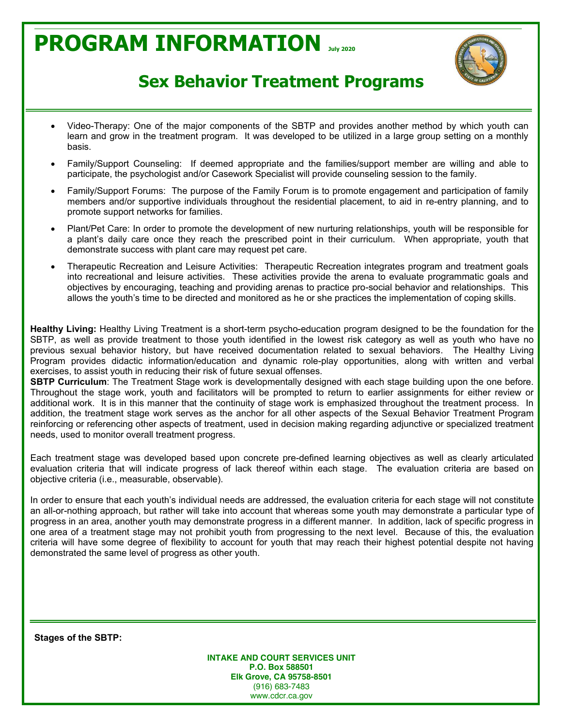

### **Sex Behavior Treatment Programs**

- x Video-Therapy: One of the major components of the SBTP and provides another method by which youth can learn and grow in the treatment program. It was developed to be utilized in a large group setting on a monthly basis.
- Family/Support Counseling: If deemed appropriate and the families/support member are willing and able to participate, the psychologist and/or Casework Specialist will provide counseling session to the family.
- Family/Support Forums: The purpose of the Family Forum is to promote engagement and participation of family members and/or supportive individuals throughout the residential placement, to aid in re-entry planning, and to promote support networks for families.
- Plant/Pet Care: In order to promote the development of new nurturing relationships, youth will be responsible for a plant's daily care once they reach the prescribed point in their curriculum. When appropriate, youth that demonstrate success with plant care may request pet care.
- x Therapeutic Recreation and Leisure Activities: Therapeutic Recreation integrates program and treatment goals into recreational and leisure activities. These activities provide the arena to evaluate programmatic goals and objectives by encouraging, teaching and providing arenas to practice pro-social behavior and relationships. This allows the youth's time to be directed and monitored as he or she practices the implementation of coping skills.

**Healthy Living:** Healthy Living Treatment is a short-term psycho-education program designed to be the foundation for the SBTP, as well as provide treatment to those youth identified in the lowest risk category as well as youth who have no previous sexual behavior history, but have received documentation related to sexual behaviors. The Healthy Living Program provides didactic information/education and dynamic role-play opportunities, along with written and verbal exercises, to assist youth in reducing their risk of future sexual offenses.

**SBTP Curriculum**: The Treatment Stage work is developmentally designed with each stage building upon the one before. Throughout the stage work, youth and facilitators will be prompted to return to earlier assignments for either review or additional work. It is in this manner that the continuity of stage work is emphasized throughout the treatment process. In addition, the treatment stage work serves as the anchor for all other aspects of the Sexual Behavior Treatment Program reinforcing or referencing other aspects of treatment, used in decision making regarding adjunctive or specialized treatment needs, used to monitor overall treatment progress.

Each treatment stage was developed based upon concrete pre-defined learning objectives as well as clearly articulated evaluation criteria that will indicate progress of lack thereof within each stage. The evaluation criteria are based on objective criteria (i.e., measurable, observable).

In order to ensure that each youth's individual needs are addressed, the evaluation criteria for each stage will not constitute an all-or-nothing approach, but rather will take into account that whereas some youth may demonstrate a particular type of progress in an area, another youth may demonstrate progress in a different manner. In addition, lack of specific progress in one area of a treatment stage may not prohibit youth from progressing to the next level. Because of this, the evaluation criteria will have some degree of flexibility to account for youth that may reach their highest potential despite not having demonstrated the same level of progress as other youth.

**Stages of the SBTP:**